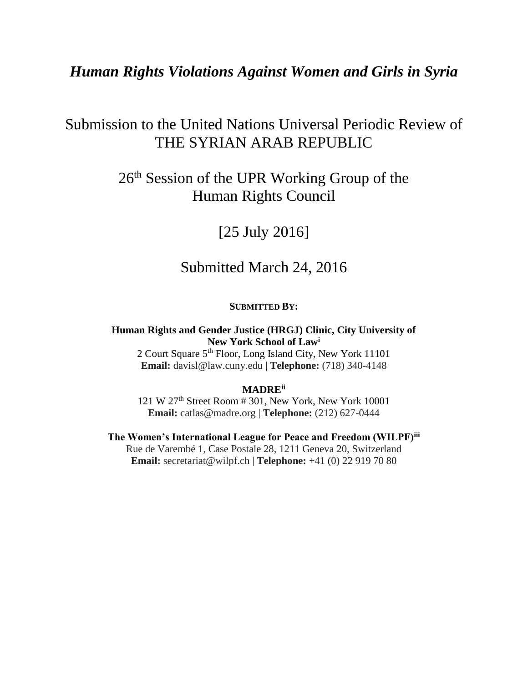## *Human Rights Violations Against Women and Girls in Syria*

# Submission to the United Nations Universal Periodic Review of THE SYRIAN ARAB REPUBLIC

# 26th Session of the UPR Working Group of the Human Rights Council

# [25 July 2016]

## Submitted March 24, 2016

#### **SUBMITTED BY:**

#### **Human Rights and Gender Justice (HRGJ) Clinic, City University of New York School of Law<sup>i</sup>**

2 Court Square 5<sup>th</sup> Floor, Long Island City, New York 11101 **Email:** davisl@law.cuny.edu | **Telephone:** (718) 340-4148

#### **MADREii**

121 W 27th Street Room # 301, New York, New York 10001 **Email:** catlas@madre.org | **Telephone:** (212) 627-0444

**The Women's International League for Peace and Freedom (WILPF)iii** Rue de Varembé 1, Case Postale 28, 1211 Geneva 20, Switzerland **Email:** secretariat@wilpf.ch | **Telephone:** +41 (0) 22 919 70 80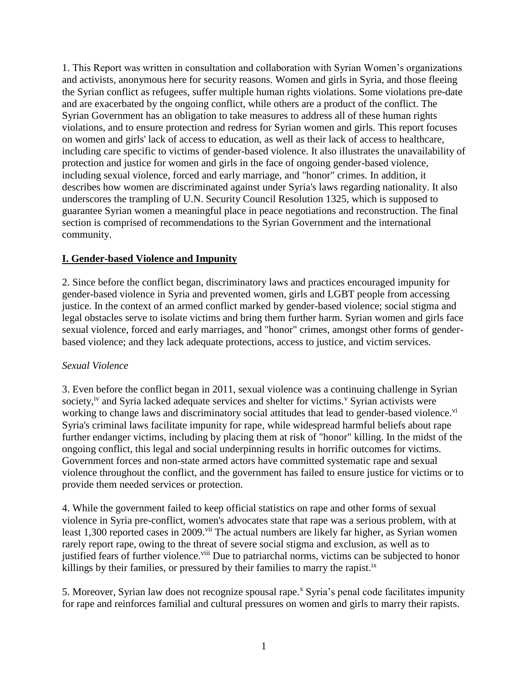1. This Report was written in consultation and collaboration with Syrian Women's organizations and activists, anonymous here for security reasons. Women and girls in Syria, and those fleeing the Syrian conflict as refugees, suffer multiple human rights violations. Some violations pre-date and are exacerbated by the ongoing conflict, while others are a product of the conflict. The Syrian Government has an obligation to take measures to address all of these human rights violations, and to ensure protection and redress for Syrian women and girls. This report focuses on women and girls' lack of access to education, as well as their lack of access to healthcare, including care specific to victims of gender-based violence. It also illustrates the unavailability of protection and justice for women and girls in the face of ongoing gender-based violence, including sexual violence, forced and early marriage, and "honor" crimes. In addition, it describes how women are discriminated against under Syria's laws regarding nationality. It also underscores the trampling of U.N. Security Council Resolution 1325, which is supposed to guarantee Syrian women a meaningful place in peace negotiations and reconstruction. The final section is comprised of recommendations to the Syrian Government and the international community.

#### **I. Gender-based Violence and Impunity**

2. Since before the conflict began, discriminatory laws and practices encouraged impunity for gender-based violence in Syria and prevented women, girls and LGBT people from accessing justice. In the context of an armed conflict marked by gender-based violence; social stigma and legal obstacles serve to isolate victims and bring them further harm. Syrian women and girls face sexual violence, forced and early marriages, and "honor" crimes, amongst other forms of genderbased violence; and they lack adequate protections, access to justice, and victim services.

#### *Sexual Violence*

3. Even before the conflict began in 2011, sexual violence was a continuing challenge in Syrian society,<sup>iv</sup> and Syria lacked adequate services and shelter for victims.<sup>v</sup> Syrian activists were working to change laws and discriminatory social attitudes that lead to gender-based violence.<sup>vi</sup> Syria's criminal laws facilitate impunity for rape, while widespread harmful beliefs about rape further endanger victims, including by placing them at risk of "honor" killing. In the midst of the ongoing conflict, this legal and social underpinning results in horrific outcomes for victims. Government forces and non-state armed actors have committed systematic rape and sexual violence throughout the conflict, and the government has failed to ensure justice for victims or to provide them needed services or protection.

4. While the government failed to keep official statistics on rape and other forms of sexual violence in Syria pre-conflict, women's advocates state that rape was a serious problem, with at least 1,300 reported cases in 2009.<sup>vii</sup> The actual numbers are likely far higher, as Syrian women rarely report rape, owing to the threat of severe social stigma and exclusion, as well as to justified fears of further violence.<sup>viii</sup> Due to patriarchal norms, victims can be subjected to honor killings by their families, or pressured by their families to marry the rapist.<sup>ix</sup>

5. Moreover, Syrian law does not recognize spousal rape. <sup>x</sup> Syria's penal code facilitates impunity for rape and reinforces familial and cultural pressures on women and girls to marry their rapists.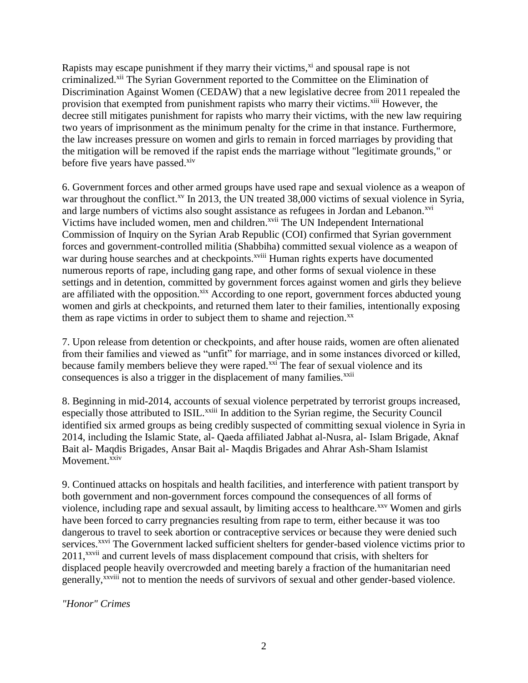Rapists may escape punishment if they marry their victims, $x^i$  and spousal rape is not criminalized.<sup>xii</sup> The Syrian Government reported to the Committee on the Elimination of Discrimination Against Women (CEDAW) that a new legislative decree from 2011 repealed the provision that exempted from punishment rapists who marry their victims.<sup>xiii</sup> However, the decree still mitigates punishment for rapists who marry their victims, with the new law requiring two years of imprisonment as the minimum penalty for the crime in that instance. Furthermore, the law increases pressure on women and girls to remain in forced marriages by providing that the mitigation will be removed if the rapist ends the marriage without "legitimate grounds," or before five years have passed. $x$ iv

6. Government forces and other armed groups have used rape and sexual violence as a weapon of war throughout the conflict.<sup>xv</sup> In 2013, the UN treated 38,000 victims of sexual violence in Syria, and large numbers of victims also sought assistance as refugees in Jordan and Lebanon.<sup>xvi</sup> Victims have included women, men and children.<sup>xvii</sup> The UN Independent International Commission of Inquiry on the Syrian Arab Republic (COI) confirmed that Syrian government forces and government-controlled militia (Shabbiha) committed sexual violence as a weapon of war during house searches and at checkpoints.<sup>xviii</sup> Human rights experts have documented numerous reports of rape, including gang rape, and other forms of sexual violence in these settings and in detention, committed by government forces against women and girls they believe are affiliated with the opposition.<sup>xix</sup> According to one report, government forces abducted young women and girls at checkpoints, and returned them later to their families, intentionally exposing them as rape victims in order to subject them to shame and rejection. $^{xx}$ 

7. Upon release from detention or checkpoints, and after house raids, women are often alienated from their families and viewed as "unfit" for marriage, and in some instances divorced or killed, because family members believe they were raped.<sup>xxi</sup> The fear of sexual violence and its consequences is also a trigger in the displacement of many families.<sup>xxii</sup>

8. Beginning in mid-2014, accounts of sexual violence perpetrated by terrorist groups increased, especially those attributed to ISIL.<sup>xxiii</sup> In addition to the Syrian regime, the Security Council identified six armed groups as being credibly suspected of committing sexual violence in Syria in 2014, including the Islamic State, al- Qaeda affiliated Jabhat al-Nusra, al- Islam Brigade, Aknaf Bait al- Maqdis Brigades, Ansar Bait al- Maqdis Brigades and Ahrar Ash-Sham Islamist Movement.<sup>xxiv</sup>

9. Continued attacks on hospitals and health facilities, and interference with patient transport by both government and non-government forces compound the consequences of all forms of violence, including rape and sexual assault, by limiting access to healthcare.<sup>xxv</sup> Women and girls have been forced to carry pregnancies resulting from rape to term, either because it was too dangerous to travel to seek abortion or contraceptive services or because they were denied such services.<sup>xxvi</sup> The Government lacked sufficient shelters for gender-based violence victims prior to 2011,<sup>xxvii</sup> and current levels of mass displacement compound that crisis, with shelters for displaced people heavily overcrowded and meeting barely a fraction of the humanitarian need generally,<sup>xxviii</sup> not to mention the needs of survivors of sexual and other gender-based violence.

*"Honor" Crimes*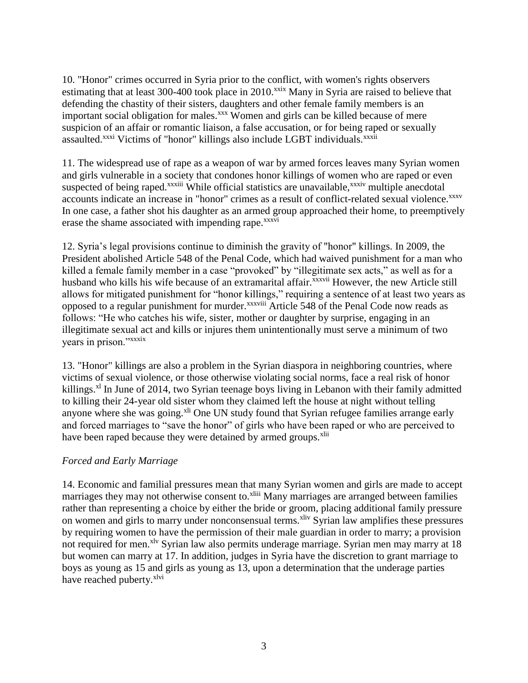10. "Honor" crimes occurred in Syria prior to the conflict, with women's rights observers estimating that at least 300-400 took place in 2010.<sup>xxix</sup> Many in Syria are raised to believe that defending the chastity of their sisters, daughters and other female family members is an important social obligation for males.<sup>xxx</sup> Women and girls can be killed because of mere suspicion of an affair or romantic liaison, a false accusation, or for being raped or sexually assaulted.<sup>xxxi</sup> Victims of "honor" killings also include LGBT individuals.<sup>xxxii</sup>

11. The widespread use of rape as a weapon of war by armed forces leaves many Syrian women and girls vulnerable in a society that condones honor killings of women who are raped or even suspected of being raped.<sup>xxxiii</sup> While official statistics are unavailable,<sup>xxxiv</sup> multiple anecdotal accounts indicate an increase in "honor" crimes as a result of conflict-related sexual violence.<sup>xxxv</sup> In one case, a father shot his daughter as an armed group approached their home, to preemptively erase the shame associated with impending rape.<sup>xxxvi</sup>

12. Syria's legal provisions continue to diminish the gravity of "honor" killings. In 2009, the President abolished Article 548 of the Penal Code, which had waived punishment for a man who killed a female family member in a case "provoked" by "illegitimate sex acts," as well as for a husband who kills his wife because of an extramarital affair.<sup>xxxvii</sup> However, the new Article still allows for mitigated punishment for "honor killings," requiring a sentence of at least two years as opposed to a regular punishment for murder.<sup>xxxviii</sup> Article 548 of the Penal Code now reads as follows: "He who catches his wife, sister, mother or daughter by surprise, engaging in an illegitimate sexual act and kills or injures them unintentionally must serve a minimum of two years in prison."xxxix

13. "Honor" killings are also a problem in the Syrian diaspora in neighboring countries, where victims of sexual violence, or those otherwise violating social norms, face a real risk of honor killings.<sup>xl</sup> In June of 2014, two Syrian teenage boys living in Lebanon with their family admitted to killing their 24-year old sister whom they claimed left the house at night without telling anyone where she was going.<sup>xli</sup> One UN study found that Syrian refugee families arrange early and forced marriages to "save the honor" of girls who have been raped or who are perceived to have been raped because they were detained by armed groups.<sup>xlii</sup>

#### *Forced and Early Marriage*

14. Economic and familial pressures mean that many Syrian women and girls are made to accept marriages they may not otherwise consent to.<sup>xliii</sup> Many marriages are arranged between families rather than representing a choice by either the bride or groom, placing additional family pressure on women and girls to marry under nonconsensual terms.<sup>xliv</sup> Syrian law amplifies these pressures by requiring women to have the permission of their male guardian in order to marry; a provision not required for men.<sup>xlv</sup> Syrian law also permits underage marriage. Syrian men may marry at 18 but women can marry at 17. In addition, judges in Syria have the discretion to grant marriage to boys as young as 15 and girls as young as 13, upon a determination that the underage parties have reached puberty.<sup>xlvi</sup>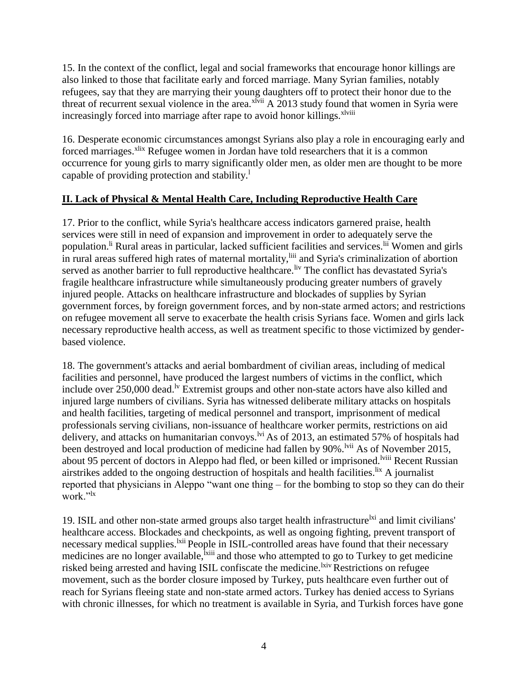15. In the context of the conflict, legal and social frameworks that encourage honor killings are also linked to those that facilitate early and forced marriage. Many Syrian families, notably refugees, say that they are marrying their young daughters off to protect their honor due to the threat of recurrent sexual violence in the area. $x^{\text{Ivii}}$  A 2013 study found that women in Syria were increasingly forced into marriage after rape to avoid honor killings.<sup>xlviii</sup>

16. Desperate economic circumstances amongst Syrians also play a role in encouraging early and forced marriages.<sup>xlix</sup> Refugee women in Jordan have told researchers that it is a common occurrence for young girls to marry significantly older men, as older men are thought to be more capable of providing protection and stability.<sup>1</sup>

#### **II. Lack of Physical & Mental Health Care, Including Reproductive Health Care**

17. Prior to the conflict, while Syria's healthcare access indicators garnered praise, health services were still in need of expansion and improvement in order to adequately serve the population.<sup>li</sup> Rural areas in particular, lacked sufficient facilities and services.<sup>lii</sup> Women and girls in rural areas suffered high rates of maternal mortality,<sup>liii</sup> and Syria's criminalization of abortion served as another barrier to full reproductive healthcare.<sup>liv</sup> The conflict has devastated Syria's fragile healthcare infrastructure while simultaneously producing greater numbers of gravely injured people. Attacks on healthcare infrastructure and blockades of supplies by Syrian government forces, by foreign government forces, and by non-state armed actors; and restrictions on refugee movement all serve to exacerbate the health crisis Syrians face. Women and girls lack necessary reproductive health access, as well as treatment specific to those victimized by genderbased violence.

18. The government's attacks and aerial bombardment of civilian areas, including of medical facilities and personnel, have produced the largest numbers of victims in the conflict, which include over  $250,000$  dead.<sup>1v</sup> Extremist groups and other non-state actors have also killed and injured large numbers of civilians. Syria has witnessed deliberate military attacks on hospitals and health facilities, targeting of medical personnel and transport, imprisonment of medical professionals serving civilians, non-issuance of healthcare worker permits, restrictions on aid delivery, and attacks on humanitarian convoys.<sup>lvi</sup> As of 2013, an estimated 57% of hospitals had been destroyed and local production of medicine had fallen by 90%.<sup>lvii</sup> As of November 2015, about 95 percent of doctors in Aleppo had fled, or been killed or imprisoned.<sup>Iviii</sup> Recent Russian airstrikes added to the ongoing destruction of hospitals and health facilities.  $\frac{dx}{dt}$  A journalist reported that physicians in Aleppo "want one thing – for the bombing to stop so they can do their work."<sup>1x</sup>

19. ISIL and other non-state armed groups also target health infrastructure<sup>lxi</sup> and limit civilians' healthcare access. Blockades and checkpoints, as well as ongoing fighting, prevent transport of necessary medical supplies.<sup>1xii</sup> People in ISIL-controlled areas have found that their necessary medicines are no longer available,<sup>1xiii</sup> and those who attempted to go to Turkey to get medicine risked being arrested and having ISIL confiscate the medicine.<sup>kiv</sup> Restrictions on refugee movement, such as the border closure imposed by Turkey, puts healthcare even further out of reach for Syrians fleeing state and non-state armed actors. Turkey has denied access to Syrians with chronic illnesses, for which no treatment is available in Syria, and Turkish forces have gone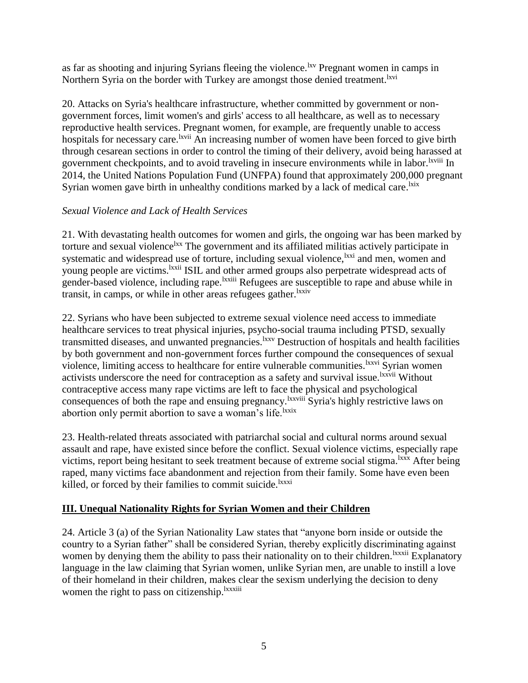as far as shooting and injuring Syrians fleeing the violence.<sup>1xv</sup> Pregnant women in camps in Northern Syria on the border with Turkey are amongst those denied treatment.<sup>lxvi</sup>

20. Attacks on Syria's healthcare infrastructure, whether committed by government or nongovernment forces, limit women's and girls' access to all healthcare, as well as to necessary reproductive health services. Pregnant women, for example, are frequently unable to access hospitals for necessary care.<sup>lxvii</sup> An increasing number of women have been forced to give birth through cesarean sections in order to control the timing of their delivery, avoid being harassed at government checkpoints, and to avoid traveling in insecure environments while in labor. Ixviii In 2014, the United Nations Population Fund (UNFPA) found that approximately 200,000 pregnant Syrian women gave birth in unhealthy conditions marked by a lack of medical care.<sup>1xix</sup>

#### *Sexual Violence and Lack of Health Services*

21. With devastating health outcomes for women and girls, the ongoing war has been marked by torture and sexual violence<sup>lxx</sup> The government and its affiliated militias actively participate in systematic and widespread use of torture, including sexual violence, <sup>1xxi</sup> and men, women and young people are victims. <sup>Ixxii</sup> ISIL and other armed groups also perpetrate widespread acts of gender-based violence, including rape.<sup>lxxiii</sup> Refugees are susceptible to rape and abuse while in transit, in camps, or while in other areas refugees gather.<sup>lxxiv</sup>

22. Syrians who have been subjected to extreme sexual violence need access to immediate healthcare services to treat physical injuries, psycho-social trauma including PTSD, sexually transmitted diseases, and unwanted pregnancies.<sup>lxxv</sup> Destruction of hospitals and health facilities by both government and non-government forces further compound the consequences of sexual violence, limiting access to healthcare for entire vulnerable communities.<sup>1xxvi</sup> Syrian women activists underscore the need for contraception as a safety and survival issue.<sup>lxxvii</sup> Without contraceptive access many rape victims are left to face the physical and psychological consequences of both the rape and ensuing pregnancy.<sup>lxxviii</sup> Syria's highly restrictive laws on abortion only permit abortion to save a woman's life.<sup>lxxix</sup>

23. Health-related threats associated with patriarchal social and cultural norms around sexual assault and rape, have existed since before the conflict. Sexual violence victims, especially rape victims, report being hesitant to seek treatment because of extreme social stigma.<sup>lxxx</sup> After being raped, many victims face abandonment and rejection from their family. Some have even been killed, or forced by their families to commit suicide.<sup>lxxxi</sup>

### **III. Unequal Nationality Rights for Syrian Women and their Children**

24. Article 3 (a) of the Syrian Nationality Law states that "anyone born inside or outside the country to a Syrian father" shall be considered Syrian, thereby explicitly discriminating against women by denying them the ability to pass their nationality on to their children. <sup>Ixxxii</sup> Explanatory language in the law claiming that Syrian women, unlike Syrian men, are unable to instill a love of their homeland in their children, makes clear the sexism underlying the decision to deny women the right to pass on citizenship.<sup>lxxxiii</sup>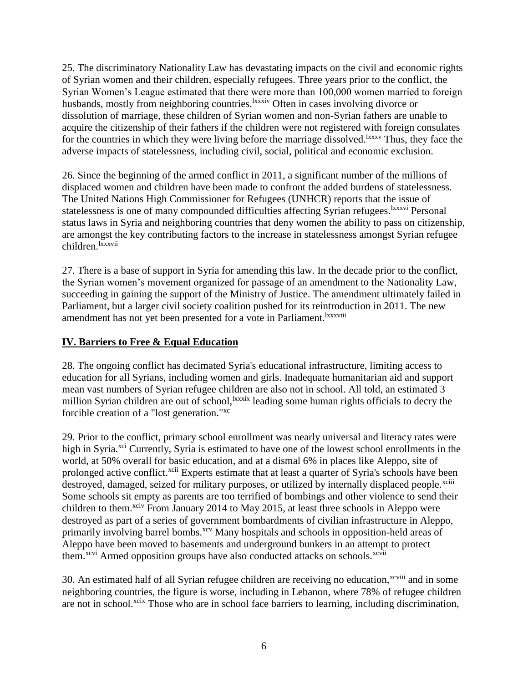25. The discriminatory Nationality Law has devastating impacts on the civil and economic rights of Syrian women and their children, especially refugees. Three years prior to the conflict, the Syrian Women's League estimated that there were more than 100,000 women married to foreign husbands, mostly from neighboring countries.<sup>1xxxiv</sup> Often in cases involving divorce or dissolution of marriage, these children of Syrian women and non-Syrian fathers are unable to acquire the citizenship of their fathers if the children were not registered with foreign consulates for the countries in which they were living before the marriage dissolved.<sup>1xxxv</sup> Thus, they face the adverse impacts of statelessness, including civil, social, political and economic exclusion.

26. Since the beginning of the armed conflict in 2011, a significant number of the millions of displaced women and children have been made to confront the added burdens of statelessness. The United Nations High Commissioner for Refugees (UNHCR) reports that the issue of statelessness is one of many compounded difficulties affecting Syrian refugees. <sup>Ixxxvi</sup> Personal status laws in Syria and neighboring countries that deny women the ability to pass on citizenship, are amongst the key contributing factors to the increase in statelessness amongst Syrian refugee children.<sup>lxxxvii</sup>

27. There is a base of support in Syria for amending this law. In the decade prior to the conflict, the Syrian women's movement organized for passage of an amendment to the Nationality Law, succeeding in gaining the support of the Ministry of Justice. The amendment ultimately failed in Parliament, but a larger civil society coalition pushed for its reintroduction in 2011. The new amendment has not yet been presented for a vote in Parliament.<sup>1xxxviii</sup>

### **IV. Barriers to Free & Equal Education**

28. The ongoing conflict has decimated Syria's educational infrastructure, limiting access to education for all Syrians, including women and girls. Inadequate humanitarian aid and support mean vast numbers of Syrian refugee children are also not in school. All told, an estimated 3 million Syrian children are out of school, xxxix leading some human rights officials to decry the forcible creation of a "lost generation."xc

29. Prior to the conflict, primary school enrollment was nearly universal and literacy rates were high in Syria.<sup>xci</sup> Currently, Syria is estimated to have one of the lowest school enrollments in the world, at 50% overall for basic education, and at a dismal 6% in places like Aleppo, site of prolonged active conflict.<sup>xcii</sup> Experts estimate that at least a quarter of Syria's schools have been destroyed, damaged, seized for military purposes, or utilized by internally displaced people.<sup>xciii</sup> Some schools sit empty as parents are too terrified of bombings and other violence to send their children to them.<sup>xciv</sup> From January 2014 to May 2015, at least three schools in Aleppo were destroyed as part of a series of government bombardments of civilian infrastructure in Aleppo, primarily involving barrel bombs.<sup>xcv</sup> Many hospitals and schools in opposition-held areas of Aleppo have been moved to basements and underground bunkers in an attempt to protect them.<sup>xcvi</sup> Armed opposition groups have also conducted attacks on schools.<sup>xcvii</sup>

30. An estimated half of all Syrian refugee children are receiving no education,<sup>xcviii</sup> and in some neighboring countries, the figure is worse, including in Lebanon, where 78% of refugee children are not in school.<sup>xcix</sup> Those who are in school face barriers to learning, including discrimination,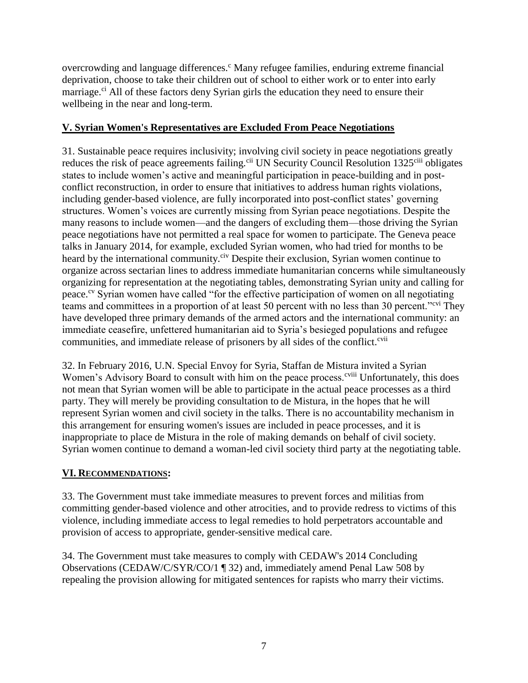overcrowding and language differences.<sup>c</sup> Many refugee families, enduring extreme financial deprivation, choose to take their children out of school to either work or to enter into early marriage.<sup>ci</sup> All of these factors deny Syrian girls the education they need to ensure their wellbeing in the near and long-term.

#### **V. Syrian Women's Representatives are Excluded From Peace Negotiations**

31. Sustainable peace requires inclusivity; involving civil society in peace negotiations greatly reduces the risk of peace agreements failing.<sup>cii</sup> UN Security Council Resolution 1325<sup>ciii</sup> obligates states to include women's active and meaningful participation in peace-building and in postconflict reconstruction, in order to ensure that initiatives to address human rights violations, including gender-based violence, are fully incorporated into post-conflict states' governing structures. Women's voices are currently missing from Syrian peace negotiations. Despite the many reasons to include women—and the dangers of excluding them—those driving the Syrian peace negotiations have not permitted a real space for women to participate. The Geneva peace talks in January 2014, for example, excluded Syrian women, who had tried for months to be heard by the international community.<sup>civ</sup> Despite their exclusion, Syrian women continue to organize across sectarian lines to address immediate humanitarian concerns while simultaneously organizing for representation at the negotiating tables, demonstrating Syrian unity and calling for peace.<sup>cv</sup> Syrian women have called "for the effective participation of women on all negotiating teams and committees in a proportion of at least 50 percent with no less than 30 percent."cvi They have developed three primary demands of the armed actors and the international community: an immediate ceasefire, unfettered humanitarian aid to Syria's besieged populations and refugee communities, and immediate release of prisoners by all sides of the conflict.<sup>cvii</sup>

32. In February 2016, U.N. Special Envoy for Syria, Staffan de Mistura invited a Syrian Women's Advisory Board to consult with him on the peace process.<sup>cviii</sup> Unfortunately, this does not mean that Syrian women will be able to participate in the actual peace processes as a third party. They will merely be providing consultation to de Mistura, in the hopes that he will represent Syrian women and civil society in the talks. There is no accountability mechanism in this arrangement for ensuring women's issues are included in peace processes, and it is inappropriate to place de Mistura in the role of making demands on behalf of civil society. Syrian women continue to demand a woman-led civil society third party at the negotiating table.

### **VI. RECOMMENDATIONS:**

33. The Government must take immediate measures to prevent forces and militias from committing gender-based violence and other atrocities, and to provide redress to victims of this violence, including immediate access to legal remedies to hold perpetrators accountable and provision of access to appropriate, gender-sensitive medical care.

34. The Government must take measures to comply with CEDAW's 2014 Concluding Observations (CEDAW/C/SYR/CO/1 ¶ 32) and, immediately amend Penal Law 508 by repealing the provision allowing for mitigated sentences for rapists who marry their victims.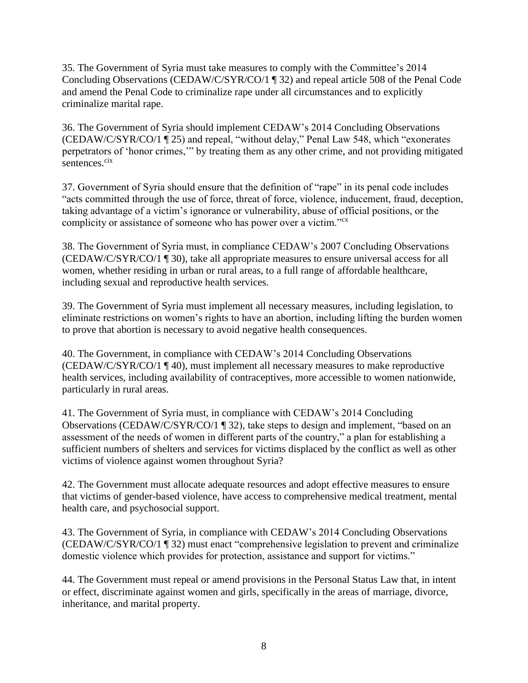35. The Government of Syria must take measures to comply with the Committee's 2014 Concluding Observations (CEDAW/C/SYR/CO/1 ¶ 32) and repeal article 508 of the Penal Code and amend the Penal Code to criminalize rape under all circumstances and to explicitly criminalize marital rape.

36. The Government of Syria should implement CEDAW's 2014 Concluding Observations (CEDAW/C/SYR/CO/1 ¶ 25) and repeal, "without delay," Penal Law 548, which "exonerates perpetrators of 'honor crimes,'" by treating them as any other crime, and not providing mitigated sentences.<sup>cix</sup>

37. Government of Syria should ensure that the definition of "rape" in its penal code includes "acts committed through the use of force, threat of force, violence, inducement, fraud, deception, taking advantage of a victim's ignorance or vulnerability, abuse of official positions, or the complicity or assistance of someone who has power over a victim."<sup>cx</sup>

38. The Government of Syria must, in compliance CEDAW's 2007 Concluding Observations (CEDAW/C/SYR/CO/1 ¶ 30), take all appropriate measures to ensure universal access for all women, whether residing in urban or rural areas, to a full range of affordable healthcare, including sexual and reproductive health services.

39. The Government of Syria must implement all necessary measures, including legislation, to eliminate restrictions on women's rights to have an abortion, including lifting the burden women to prove that abortion is necessary to avoid negative health consequences.

40. The Government, in compliance with CEDAW's 2014 Concluding Observations (CEDAW/C/SYR/CO/1 ¶ 40), must implement all necessary measures to make reproductive health services, including availability of contraceptives, more accessible to women nationwide, particularly in rural areas.

41. The Government of Syria must, in compliance with CEDAW's 2014 Concluding Observations (CEDAW/C/SYR/CO/1 ¶ 32), take steps to design and implement, "based on an assessment of the needs of women in different parts of the country," a plan for establishing a sufficient numbers of shelters and services for victims displaced by the conflict as well as other victims of violence against women throughout Syria?

42. The Government must allocate adequate resources and adopt effective measures to ensure that victims of gender-based violence, have access to comprehensive medical treatment, mental health care, and psychosocial support.

43. The Government of Syria, in compliance with CEDAW's 2014 Concluding Observations (CEDAW/C/SYR/CO/1 ¶ 32) must enact "comprehensive legislation to prevent and criminalize domestic violence which provides for protection, assistance and support for victims."

44. The Government must repeal or amend provisions in the Personal Status Law that, in intent or effect, discriminate against women and girls, specifically in the areas of marriage, divorce, inheritance, and marital property.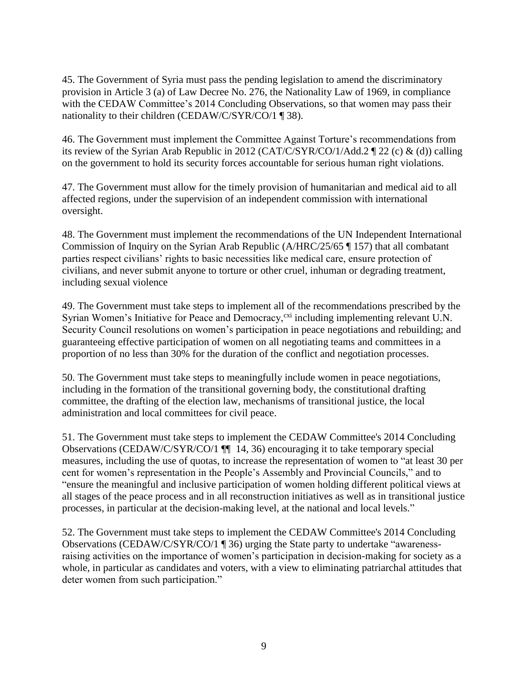45. The Government of Syria must pass the pending legislation to amend the discriminatory provision in Article 3 (a) of Law Decree No. 276, the Nationality Law of 1969, in compliance with the CEDAW Committee's 2014 Concluding Observations, so that women may pass their nationality to their children (CEDAW/C/SYR/CO/1 ¶ 38).

46. The Government must implement the Committee Against Torture's recommendations from its review of the Syrian Arab Republic in 2012 (CAT/C/SYR/CO/1/Add.2 ¶ 22 (c) & (d)) calling on the government to hold its security forces accountable for serious human right violations.

47. The Government must allow for the timely provision of humanitarian and medical aid to all affected regions, under the supervision of an independent commission with international oversight.

48. The Government must implement the recommendations of the UN Independent International Commission of Inquiry on the Syrian Arab Republic (A/HRC/25/65 ¶ 157) that all combatant parties respect civilians' rights to basic necessities like medical care, ensure protection of civilians, and never submit anyone to torture or other cruel, inhuman or degrading treatment, including sexual violence

49. The Government must take steps to implement all of the recommendations prescribed by the Syrian Women's Initiative for Peace and Democracy,<sup>cxi</sup> including implementing relevant U.N. Security Council resolutions on women's participation in peace negotiations and rebuilding; and guaranteeing effective participation of women on all negotiating teams and committees in a proportion of no less than 30% for the duration of the conflict and negotiation processes.

50. The Government must take steps to meaningfully include women in peace negotiations, including in the formation of the transitional governing body, the constitutional drafting committee, the drafting of the election law, mechanisms of transitional justice, the local administration and local committees for civil peace.

51. The Government must take steps to implement the CEDAW Committee's 2014 Concluding Observations (CEDAW/C/SYR/CO/1 ¶¶ 14, 36) encouraging it to take temporary special measures, including the use of quotas, to increase the representation of women to "at least 30 per cent for women's representation in the People's Assembly and Provincial Councils," and to "ensure the meaningful and inclusive participation of women holding different political views at all stages of the peace process and in all reconstruction initiatives as well as in transitional justice processes, in particular at the decision-making level, at the national and local levels."

52. The Government must take steps to implement the CEDAW Committee's 2014 Concluding Observations (CEDAW/C/SYR/CO/1 ¶ 36) urging the State party to undertake "awarenessraising activities on the importance of women's participation in decision-making for society as a whole, in particular as candidates and voters, with a view to eliminating patriarchal attitudes that deter women from such participation."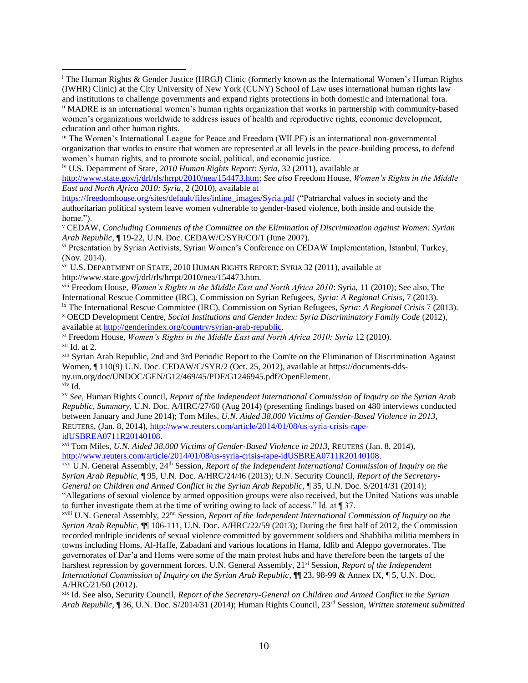iii The Women's International League for Peace and Freedom (WILPF) is an international non-governmental organization that works to ensure that women are represented at all levels in the peace-building process, to defend women's human rights, and to promote social, political, and economic justice.

iv U.S. Department of State, *2010 Human Rights Report: Syria*, 32 (2011), available at

 $\overline{\phantom{a}}$ 

[http://www.state.gov/j/drl/rls/hrrpt/2010/nea/154473.htm;](http://www.state.gov/j/drl/rls/hrrpt/2010/nea/154473.htm) *See also* Freedom House, *Women's Rights in the Middle East and North Africa 2010: Syria*, 2 (2010), available at

[https://freedomhouse.org/sites/default/files/inline\\_images/Syria.pdf](https://freedomhouse.org/sites/default/files/inline_images/Syria.pdf) ("Patriarchal values in society and the authoritarian political system leave women vulnerable to gender-based violence, both inside and outside the home.").

<sup>v</sup> CEDAW, *Concluding Comments of the Committee on the Elimination of Discrimination against Women: Syrian Arab Republic,* ¶ 19-22, U.N. Doc. CEDAW/C/SYR/CO/1 (June 2007).

vi Presentation by Syrian Activists, Syrian Women's Conference on CEDAW Implementation, Istanbul, Turkey, (Nov. 2014).

vii U.S. DEPARTMENT OF STATE, 2010 HUMAN RIGHTS REPORT: SYRIA 32 (2011), available at http://www.state.gov/j/drl/rls/hrrpt/2010/nea/154473.htm.

viii Freedom House, *Women's Rights in the Middle East and North Africa 2010*: Syria, 11 (2010); See also, The International Rescue Committee (IRC), Commission on Syrian Refugees, *Syria: A Regional Crisis*, 7 (2013).

ix The International Rescue Committee (IRC), Commission on Syrian Refugees, *Syria: A Regional Crisis* 7 (2013).

<sup>x</sup> OECD Development Centre, *Social Institutions and Gender Index: Syria Discriminatory Family Code* (2012), available at [http://genderindex.org/country/syrian-arab-republic.](http://genderindex.org/country/syrian-arab-republic)

xi Freedom House, *Women's Rights in the Middle East and North Africa 2010: Syria* 12 (2010).  $xii$  Id. at 2.

<sup>xiii</sup> Syrian Arab Republic, 2nd and 3rd Periodic Report to the Com'te on the Elimination of Discrimination Against Women, ¶ 110(9) U.N. Doc. CEDAW/C/SYR/2 (Oct. 25, 2012), available at https://documents-ddsny.un.org/doc/UNDOC/GEN/G12/469/45/PDF/G1246945.pdf?OpenElement. xiv Id.

xv *See*, Human Rights Council, *Report of the Independent International Commission of Inquiry on the Syrian Arab Republic*, *Summary,* U.N. Doc. A/HRC/27/60 (Aug 2014) (presenting findings based on 480 interviews conducted between January and June 2014); Tom Miles, *U.N. Aided 38,000 Victims of Gender-Based Violence in 2013,* REUTERS, (Jan. 8, 2014), [http://www.reuters.com/article/2014/01/08/us-syria-crisis-rape](http://www.reuters.com/article/2014/01/08/us-syria-crisis-rape-idUSBREA0711R20140108)[idUSBREA0711R20140108.](http://www.reuters.com/article/2014/01/08/us-syria-crisis-rape-idUSBREA0711R20140108)

xvi Tom Miles, *U.N. Aided 38,000 Victims of Gender-Based Violence in 2013,* REUTERS (Jan. 8, 2014), [http://www.reuters.com/article/2014/01/08/us-syria-crisis-rape-idUSBREA0711R20140108.](http://www.reuters.com/article/2014/01/08/us-syria-crisis-rape-idUSBREA0711R20140108)

xvii U.N. General Assembly, 24th Session, *Report of the Independent International Commission of Inquiry on the Syrian Arab Republic,* ¶ 95, U.N. Doc. A/HRC/24/46 (2013); U.N. Security Council, *Report of the Secretary-General on Children and Armed Conflict in the Syrian Arab Republic*, ¶ 35, U.N. Doc. S/2014/31 (2014); "Allegations of sexual violence by armed opposition groups were also received, but the United Nations was unable to further investigate them at the time of writing owing to lack of access." Id. at ¶ 37.

xviii U.N. General Assembly, 22nd Session, *Report of the Independent International Commission of Inquiry on the Syrian Arab Republic*, ¶¶ 106-111, U.N. Doc. A/HRC/22/59 (2013); During the first half of 2012, the Commission recorded multiple incidents of sexual violence committed by government soldiers and Shabbiha militia members in towns including Homs, Al-Haffe, Zabadani and various locations in Hama, Idlib and Aleppo governorates. The governorates of Dar'a and Homs were some of the main protest hubs and have therefore been the targets of the harshest repression by government forces. U.N. General Assembly, 21st Session, *Report of the Independent International Commission of Inquiry on the Syrian Arab Republic*, ¶¶ 23, 98-99 & Annex IX, ¶ 5, U.N. Doc. A/HRC/21/50 (2012).

xix Id. See also, Security Council, *Report of the Secretary-General on Children and Armed Conflict in the Syrian Arab Republic*, ¶ 36, U.N. Doc. S/2014/31 (2014); Human Rights Council, 23rd Session, *Written statement submitted* 

<sup>i</sup> The Human Rights & Gender Justice (HRGJ) Clinic (formerly known as the International Women's Human Rights (IWHR) Clinic) at the City University of New York (CUNY) School of Law uses international human rights law and institutions to challenge governments and expand rights protections in both domestic and international fora.

ii MADRE is an international women's human rights organization that works in partnership with community-based women's organizations worldwide to address issues of health and reproductive rights, economic development, education and other human rights.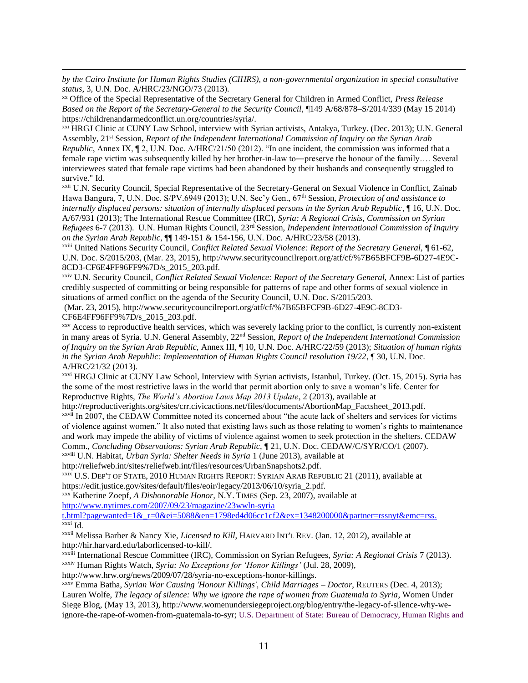*by the Cairo Institute for Human Rights Studies (CIHRS), a non-governmental organization in special consultative status*, 3, U.N. Doc. A/HRC/23/NGO/73 (2013).

 $\overline{\phantom{a}}$ 

xx Office of the Special Representative of the Secretary General for Children in Armed Conflict, *Press Release Based on the Report of the Secretary-General to the Security Council*, ¶149 A/68/878–S/2014/339 (May 15 2014) https://childrenandarmedconflict.un.org/countries/syria/.

xxi HRGJ Clinic at CUNY Law School, interview with Syrian activists, Antakya, Turkey. (Dec. 2013); U.N. General Assembly, 21st Session, *Report of the Independent International Commission of Inquiry on the Syrian Arab Republic*, Annex IX,  $\P$  2, U.N. Doc. A/HRC/21/50 (2012). "In one incident, the commission was informed that a female rape victim was subsequently killed by her brother-in-law to―preserve the honour of the family…. Several interviewees stated that female rape victims had been abandoned by their husbands and consequently struggled to survive." Id.

xxii U.N. Security Council, Special Representative of the Secretary-General on Sexual Violence in Conflict, Zainab Hawa Bangura, 7, U.N. Doc. S/PV.6949 (2013); U.N. Sec'y Gen., 67th Session, *Protection of and assistance to internally displaced persons: situation of internally displaced persons in the Syrian Arab Republic*,  $\P$ 16, U.N. Doc. A/67/931 (2013); The International Rescue Committee (IRC), *Syria: A Regional Crisis*, *Commission on Syrian Refugees* 6-7 (2013). U.N. Human Rights Council, 23rd Session, *Independent International Commission of Inquiry on the Syrian Arab Republic*, ¶¶ 149-151 & 154-156, U.N. Doc. A/HRC/23/58 (2013).

xxiii United Nations Security Council, *Conflict Related Sexual Violence: Report of the Secretary General,* ¶ 61-62, U.N. Doc. S/2015/203, (Mar. 23, 2015), http://www.securitycouncilreport.org/atf/cf/%7B65BFCF9B-6D27-4E9C-8CD3-CF6E4FF96FF9%7D/s\_2015\_203.pdf.

xxiv U.N. Security Council, *Conflict Related Sexual Violence: Report of the Secretary General,* Annex: List of parties credibly suspected of committing or being responsible for patterns of rape and other forms of sexual violence in situations of armed conflict on the agenda of the Security Council, U.N. Doc. S/2015/203.

(Mar. 23, 2015), http://www.securitycouncilreport.org/atf/cf/%7B65BFCF9B-6D27-4E9C-8CD3- CF6E4FF96FF9%7D/s\_2015\_203.pdf.

xxv Access to reproductive health services, which was severely lacking prior to the conflict, is currently non-existent in many areas of Syria. U.N. General Assembly, 22nd Session, *Report of the Independent International Commission of Inquiry on the Syrian Arab Republic,* Annex III, ¶ 10, U.N. Doc. A/HRC/22/59 (2013); *Situation of human rights in the Syrian Arab Republic: Implementation of Human Rights Council resolution 19/22*, ¶ 30, U.N. Doc. A/HRC/21/32 (2013).

xxvi HRGJ Clinic at CUNY Law School, Interview with Syrian activists, Istanbul, Turkey. (Oct. 15, 2015). Syria has the some of the most restrictive laws in the world that permit abortion only to save a woman's life. Center for Reproductive Rights, *The World's Abortion Laws Map 2013 Update*, 2 (2013), available at

http://reproductiverights.org/sites/crr.civicactions.net/files/documents/AbortionMap\_Factsheet\_2013.pdf. xxvii In 2007, the CEDAW Committee noted its concerned about "the acute lack of shelters and services for victims of violence against women." It also noted that existing laws such as those relating to women's rights to maintenance and work may impede the ability of victims of violence against women to seek protection in the shelters. CEDAW Comm., *Concluding Observations: Syrian Arab Republic,* ¶ 21, U.N. Doc. CEDAW/C/SYR/CO/1 (2007).

xxviii U.N. Habitat, *Urban Syria: Shelter Needs in Syria* 1 (June 2013), available at

http://reliefweb.int/sites/reliefweb.int/files/resources/UrbanSnapshots2.pdf.

xxix U.S. DEP'T OF STATE, 2010 HUMAN RIGHTS REPORT: SYRIAN ARAB REPUBLIC 21 (2011), available at https://edit.justice.gov/sites/default/files/eoir/legacy/2013/06/10/syria\_2.pdf.

xxx Katherine Zoepf, *A Dishonorable Honor,* N.Y. TIMES (Sep. 23, 2007), available at [http://www.nytimes.com/2007/09/23/magazine/23wwln-syria](http://www.nytimes.com/2007/09/23/magazine/23wwln-syria-t.html?pagewanted=1&_r=0&ei=5088&en=1798ed4d06cc1cf2&ex=1348200000&partner=rssnyt&emc=rss) 

[t.html?pagewanted=1&\\_r=0&ei=5088&en=1798ed4d06cc1cf2&ex=1348200000&partner=rssnyt&emc=rss.](http://www.nytimes.com/2007/09/23/magazine/23wwln-syria-t.html?pagewanted=1&_r=0&ei=5088&en=1798ed4d06cc1cf2&ex=1348200000&partner=rssnyt&emc=rss) xxxi Id*.*

xxxii Melissa Barber & Nancy Xie, *Licensed to Kill*, HARVARD INT'L REV. (Jan. 12, 2012), available at http://hir.harvard.edu/laborlicensed-to-kill/.

xxxiii International Rescue Committee (IRC), Commission on Syrian Refugees, *Syria: A Regional Crisis* 7 (2013). xxxiv Human Rights Watch, *Syria: No Exceptions for 'Honor Killings'* (Jul. 28, 2009), http://www.hrw.org/news/2009/07/28/syria-no-exceptions-honor-killings.

xxxv Emma Batha, *Syrian War Causing 'Honour Killings', Child Marriages – Doctor*, REUTERS (Dec. 4, 2013); Lauren Wolfe, *The legacy of silence: Why we ignore the rape of women from Guatemala to Syria*, Women Under Siege Blog, (May 13, 2013), http://www.womenundersiegeproject.org/blog/entry/the-legacy-of-silence-why-weignore-the-rape-of-women-from-guatemala-to-syr; U.S. Department of State: Bureau of Democracy, Human Rights and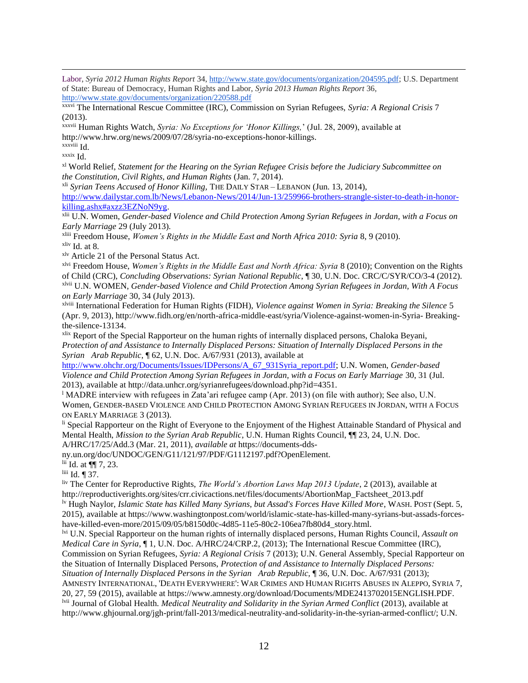$\overline{\phantom{a}}$ Labor, *Syria 2012 Human Rights Report* 34[, http://www.state.gov/documents/organization/204595.pdf;](http://www.state.gov/documents/organization/204595.pdf) U.S. Department of State: Bureau of Democracy, Human Rights and Labor, *Syria 2013 Human Rights Report* 36, <http://www.state.gov/documents/organization/220588.pdf>

xxxvi The International Rescue Committee (IRC), Commission on Syrian Refugees, *Syria: A Regional Crisis* 7 (2013).

xxxvii Human Rights Watch, *Syria: No Exceptions for 'Honor Killings,*' (Jul. 28, 2009), available at http://www.hrw.org/news/2009/07/28/syria-no-exceptions-honor-killings.

xxxviii Id. xxxix Id.

xl World Relief, *Statement for the Hearing on the Syrian Refugee Crisis before the Judiciary Subcommittee on the Constitution, Civil Rights, and Human Rights* (Jan. 7, 2014).

xli *Syrian Teens Accused of Honor Killing,* THE DAILY STAR – LEBANON (Jun. 13, 2014),

[http://www.dailystar.com.lb/News/Lebanon-News/2014/Jun-13/259966-brothers-strangle-sister-to-death-in-honor](http://www.dailystar.com.lb/News/Lebanon-News/2014/Jun-13/259966-brothers-strangle-sister-to-death-in-honor-killing.ashx#axzz3EZNoN9yg)[killing.ashx#axzz3EZNoN9yg.](http://www.dailystar.com.lb/News/Lebanon-News/2014/Jun-13/259966-brothers-strangle-sister-to-death-in-honor-killing.ashx#axzz3EZNoN9yg)

xlii U.N. Women, *Gender-based Violence and Child Protection Among Syrian Refugees in Jordan, with a Focus on Early Marriage* 29 (July 2013)*.*

xliii Freedom House, *Women's Rights in the Middle East and North Africa 2010: Syria* 8, 9 (2010).

 $x$ liv Id. at 8.

xlv Article 21 of the Personal Status Act.

xlvi Freedom House, *Women's Rights in the Middle East and North Africa: Syria* 8 (2010); Convention on the Rights of Child (CRC), *Concluding Observations: Syrian National Republic*, ¶ 30, U.N. Doc. CRC/C/SYR/CO/3-4 (2012). xlvii U.N. WOMEN, *Gender-based Violence and Child Protection Among Syrian Refugees in Jordan, With A Focus on Early Marriage* 30, 34 (July 2013).

xlviii International Federation for Human Rights (FIDH), *Violence against Women in Syria: Breaking the Silence* 5 (Apr. 9, 2013), http://www.fidh.org/en/north-africa-middle-east/syria/Violence-against-women-in-Syria- Breakingthe-silence-13134.

xlix Report of the Special Rapporteur on the human rights of internally displaced persons, Chaloka Beyani, *Protection of and Assistance to Internally Displaced Persons: Situation of Internally Displaced Persons in the Syrian Arab Republic*, ¶ 62, U.N. Doc. A/67/931 (2013), available at

[http://www.ohchr.org/Documents/Issues/IDPersons/A\\_67\\_931Syria\\_report.pdf;](http://www.ohchr.org/Documents/Issues/IDPersons/A_67_931Syria_report.pdf) U.N. Women, *Gender-based Violence and Child Protection Among Syrian Refugees in Jordan, with a Focus on Early Marriage* 30, 31 (Jul. 2013), available at http://data.unhcr.org/syrianrefugees/download.php?id=4351.

<sup>1</sup> MADRE interview with refugees in Zata'ari refugee camp (Apr. 2013) (on file with author); See also, U.N. Women, GENDER-BASED VIOLENCE AND CHILD PROTECTION AMONG SYRIAN REFUGEES IN JORDAN, WITH A FOCUS ON EARLY MARRIAGE 3 (2013).

li Special Rapporteur on the Right of Everyone to the Enjoyment of the Highest Attainable Standard of Physical and Mental Health, *Mission to the Syrian Arab Republic*, U.N. Human Rights Council, ¶¶ 23, 24, U.N. Doc. A/HRC/17/25/Add.3 (Mar. 21, 2011), *available at* https://documents-dds-

ny.un.org/doc/UNDOC/GEN/G11/121/97/PDF/G1112197.pdf?OpenElement.

lii Id. at ¶¶ 7, 23.

liii Id. ¶ 37.

liv The Center for Reproductive Rights, *The World's Abortion Laws Map 2013 Update*, 2 (2013), available at http://reproductiverights.org/sites/crr.civicactions.net/files/documents/AbortionMap\_Factsheet\_2013.pdf lv Hugh Naylor, *Islamic State has Killed Many Syrians, but Assad's Forces Have Killed More*, WASH. POST (Sept. 5, 2015), available at https://www.washingtonpost.com/world/islamic-state-has-killed-many-syrians-but-assads-forceshave-killed-even-more/2015/09/05/b8150d0c-4d85-11e5-80c2-106ea7fb80d4\_story.html.

lvi U.N. Special Rapporteur on the human rights of internally displaced persons, Human Rights Council, *Assault on Medical Care in Syria*, ¶ 1, U.N. Doc. A/HRC/24/CRP.2, (2013); The International Rescue Committee (IRC), Commission on Syrian Refugees, *Syria: A Regional Crisis* 7 (2013); U.N. General Assembly, Special Rapporteur on the Situation of Internally Displaced Persons, *Protection of and Assistance to Internally Displaced Persons: Situation of Internally Displaced Persons in the Syrian Arab Republic,* ¶ 36, U.N. Doc. A/67/931 (2013); AMNESTY INTERNATIONAL, 'DEATH EVERYWHERE': WAR CRIMES AND HUMAN RIGHTS ABUSES IN ALEPPO, SYRIA 7, 20, 27, 59 (2015), available at https://www.amnesty.org/download/Documents/MDE2413702015ENGLISH.PDF. lvii Journal of Global Health. *Medical Neutrality and Solidarity in the Syrian Armed Conflict* (2013), available at http://www.ghjournal.org/jgh-print/fall-2013/medical-neutrality-and-solidarity-in-the-syrian-armed-conflict/; U.N.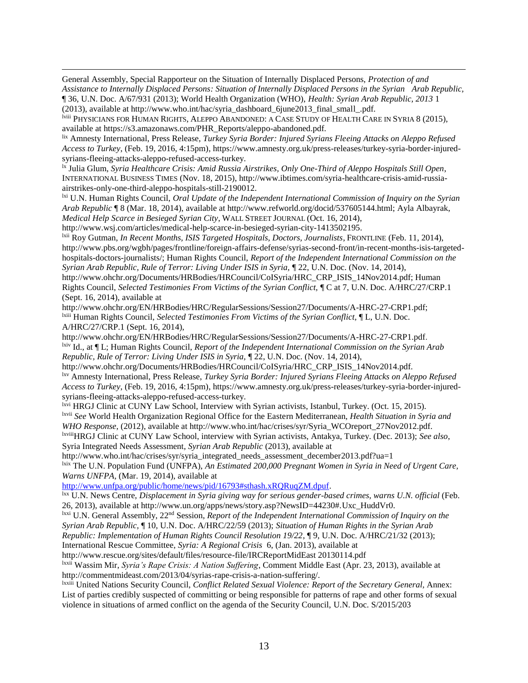General Assembly, Special Rapporteur on the Situation of Internally Displaced Persons, *Protection of and Assistance to Internally Displaced Persons: Situation of Internally Displaced Persons in the Syrian Arab Republic,*  ¶ 36, U.N. Doc. A/67/931 (2013); World Health Organization (WHO), *Health: Syrian Arab Republic, 2013* 1 (2013), available at http://www.who.int/hac/syria\_dashboard\_6june2013\_final\_small\_.pdf.

lviii PHYSICIANS FOR HUMAN RIGHTS, ALEPPO ABANDONED: A CASE STUDY OF HEALTH CARE IN SYRIA 8 (2015), available at https://s3.amazonaws.com/PHR\_Reports/aleppo-abandoned.pdf.

lix Amnesty International, Press Release, *Turkey Syria Border: Injured Syrians Fleeing Attacks on Aleppo Refused Access to Turkey*, (Feb. 19, 2016, 4:15pm), https://www.amnesty.org.uk/press-releases/turkey-syria-border-injuredsyrians-fleeing-attacks-aleppo-refused-access-turkey.

lx Julia Glum, *Syria Healthcare Crisis: Amid Russia Airstrikes, Only One-Third of Aleppo Hospitals Still Open*, INTERNATIONAL BUSINESS TIMES (Nov. 18, 2015), http://www.ibtimes.com/syria-healthcare-crisis-amid-russiaairstrikes-only-one-third-aleppo-hospitals-still-2190012.

lxi U.N. Human Rights Council, *Oral Update of the Independent International Commission of Inquiry on the Syrian Arab Republic* ¶ 8 (Mar. 18, 2014), available at http://www.refworld.org/docid/537605144.html; Ayla Albayrak, *Medical Help Scarce in Besieged Syrian City*, WALL STREET JOURNAL (Oct. 16, 2014),

http://www.wsj.com/articles/medical-help-scarce-in-besieged-syrian-city-1413502195.

 $\overline{\phantom{a}}$ 

lxii Roy Gutman, *In Recent Months, ISIS Targeted Hospitals, Doctors, Journalists*, FRONTLINE (Feb. 11, 2014), http://www.pbs.org/wgbh/pages/frontline/foreign-affairs-defense/syrias-second-front/in-recent-months-isis-targetedhospitals-doctors-journalists/; Human Rights Council, *Report of the Independent International Commission on the Syrian Arab Republic, Rule of Terror: Living Under ISIS in Syria,* ¶ 22, U.N. Doc. (Nov. 14, 2014),

http://www.ohchr.org/Documents/HRBodies/HRCouncil/CoISyria/HRC\_CRP\_ISIS\_14Nov2014.pdf; Human Rights Council, *Selected Testimonies From Victims of the Syrian Conflict,* ¶ C at 7, U.N. Doc. A/HRC/27/CRP.1 (Sept. 16, 2014), available at

http://www.ohchr.org/EN/HRBodies/HRC/RegularSessions/Session27/Documents/A-HRC-27-CRP1.pdf; lxiii Human Rights Council, *Selected Testimonies From Victims of the Syrian Conflict,* ¶ L, U.N. Doc. A/HRC/27/CRP.1 (Sept. 16, 2014),

http://www.ohchr.org/EN/HRBodies/HRC/RegularSessions/Session27/Documents/A-HRC-27-CRP1.pdf. lxiv Id., at ¶ L; Human Rights Council, *Report of the Independent International Commission on the Syrian Arab Republic, Rule of Terror: Living Under ISIS in Syria,* ¶ 22, U.N. Doc. (Nov. 14, 2014),

http://www.ohchr.org/Documents/HRBodies/HRCouncil/CoISyria/HRC\_CRP\_ISIS\_14Nov2014.pdf. lxv Amnesty International, Press Release, *Turkey Syria Border: Injured Syrians Fleeing Attacks on Aleppo Refused Access to Turkey*, (Feb. 19, 2016, 4:15pm), https://www.amnesty.org.uk/press-releases/turkey-syria-border-injuredsyrians-fleeing-attacks-aleppo-refused-access-turkey.

lxvi HRGJ Clinic at CUNY Law School, Interview with Syrian activists, Istanbul, Turkey. (Oct. 15, 2015). lxvii *See* World Health Organization Regional Office for the Eastern Mediterranean, *Health Situation in Syria and WHO Response*, (2012), available at http://www.who.int/hac/crises/syr/Syria\_WCOreport\_27Nov2012.pdf.

lxviiiHRGJ Clinic at CUNY Law School, interview with Syrian activists, Antakya, Turkey. (Dec. 2013); *See also*, Syria Integrated Needs Assessment*, Syrian Arab Republic* (2013), available at

[http://www.who.int/hac/crises/syr/syria\\_integrated\\_needs\\_assessment\\_december2013.pdf?ua=1](http://www.who.int/hac/crises/syr/syria_integrated_needs_assessment_december2013.pdf?ua=1) lxix The U.N. Population Fund (UNFPA), *An Estimated 200,000 Pregnant Women in Syria in Need of Urgent Care, Warns UNFPA,* (Mar. 19, 2014), available at

[http://www.unfpa.org/public/home/news/pid/16793#sthash.xRQRuqZM.dpuf.](http://www.unfpa.org/public/home/news/pid/16793#sthash.xRQRuqZM.dpuf)

lxx U.N. News Centre, *Displacement in Syria giving way for serious gender-based crimes, warns U.N. official* (Feb. 26, 2013), available at http://www.un.org/apps/news/story.asp?NewsID=44230#.Uxc\_HuddVr0.

lxxi U.N. General Assembly, 22nd Session, *Report of the Independent International Commission of Inquiry on the Syrian Arab Republic,* ¶ 10, U.N. Doc. A/HRC/22/59 (2013); *Situation of Human Rights in the Syrian Arab* 

*Republic: Implementation of Human Rights Council Resolution 19/22*, ¶ 9, U.N. Doc. A/HRC/21/32 (2013); International Rescue Committee, *Syria: A Regional Crisis* 6, (Jan. 2013), available at

http://www.rescue.org/sites/default/files/resource-file/IRCReportMidEast 20130114.pdf

lxxii Wassim Mir, *Syria's Rape Crisis: A Nation Suffering*, Comment Middle East (Apr. 23, 2013), available at http://commentmideast.com/2013/04/syrias-rape-crisis-a-nation-suffering/.

lxxiii United Nations Security Council, *Conflict Related Sexual Violence: Report of the Secretary General,* Annex: List of parties credibly suspected of committing or being responsible for patterns of rape and other forms of sexual violence in situations of armed conflict on the agenda of the Security Council, U.N. Doc. S/2015/203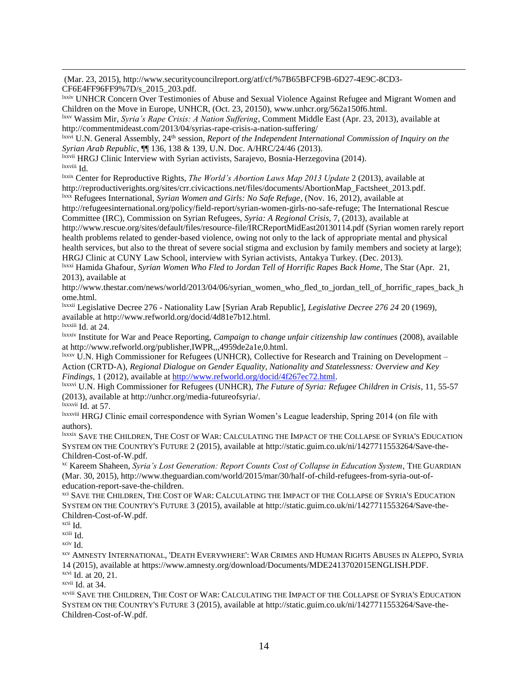(Mar. 23, 2015), http://www.securitycouncilreport.org/atf/cf/%7B65BFCF9B-6D27-4E9C-8CD3- CF6E4FF96FF9%7D/s\_2015\_203.pdf.

lxxiv UNHCR Concern Over Testimonies of Abuse and Sexual Violence Against Refugee and Migrant Women and Children on the Move in Europe, UNHCR, (Oct. 23, 20150), www.unhcr.org/562a150f6.html.

lxxv Wassim Mir, *Syria's Rape Crisis: A Nation Suffering*, Comment Middle East (Apr. 23, 2013), available at http://commentmideast.com/2013/04/syrias-rape-crisis-a-nation-suffering/

lxxvi U.N. General Assembly, 24th session, *Report of the Independent International Commission of Inquiry on the Syrian Arab Republic,* ¶¶ 136, 138 & 139, U.N. Doc. A/HRC/24/46 (2013).

lxxvii HRGJ Clinic Interview with Syrian activists, Sarajevo, Bosnia-Herzegovina (2014). lxxviii Id.

lxxix Center for Reproductive Rights, *The World's Abortion Laws Map 2013 Update* 2 (2013), available at http://reproductiverights.org/sites/crr.civicactions.net/files/documents/AbortionMap\_Factsheet\_2013.pdf.

lxxx Refugees International, *Syrian Women and Girls: No Safe Refuge*, (Nov. 16, 2012), available at http://refugeesinternational.org/policy/field-report/syrian-women-girls-no-safe-refuge; The International Rescue Committee (IRC), Commission on Syrian Refugees, *Syria: A Regional Crisis,* 7, (2013), available at

http://www.rescue.org/sites/default/files/resource-file/IRCReportMidEast20130114.pdf (Syrian women rarely report health problems related to gender-based violence, owing not only to the lack of appropriate mental and physical health services, but also to the threat of severe social stigma and exclusion by family members and society at large); HRGJ Clinic at CUNY Law School, interview with Syrian activists, Antakya Turkey. (Dec. 2013).

lxxxi Hamida Ghafour, *Syrian Women Who Fled to Jordan Tell of Horrific Rapes Back Home*, The Star (Apr. 21, 2013), available at

http://www.thestar.com/news/world/2013/04/06/syrian\_women\_who\_fled\_to\_jordan\_tell\_of\_horrific\_rapes\_back\_h ome.html.

lxxxii Legislative Decree 276 - Nationality Law [Syrian Arab Republic], *Legislative Decree 276 24* 20 (1969), available at http://www.refworld.org/docid/4d81e7b12.html.

lxxxiii Id. at 24.

 $\overline{\phantom{a}}$ 

lxxxiv Institute for War and Peace Reporting, *Campaign to change unfair citizenship law continues* (2008), available at http://www.refworld.org/publisher,IWPR,,,4959de2a1e,0.html.

lxxxv U.N. High Commissioner for Refugees (UNHCR), Collective for Research and Training on Development – Action (CRTD-A), *Regional Dialogue on Gender Equality, Nationality and Statelessness: Overview and Key Findings*, 1 (2012), available at [http://www.refworld.org/docid/4f267ec72.html.](http://www.refworld.org/docid/4f267ec72.html)

lxxxvi U.N. High Commissioner for Refugees (UNHCR), *The Future of Syria: Refugee Children in Crisis*, 11, 55-57 (2013), available at http://unhcr.org/media-futureofsyria/.

lxxxvii Id. at 57.

lxxxviii HRGJ Clinic email correspondence with Syrian Women's League leadership, Spring 2014 (on file with authors).

lxxxix SAVE THE CHILDREN, THE COST OF WAR: CALCULATING THE IMPACT OF THE COLLAPSE OF SYRIA'S EDUCATION SYSTEM ON THE COUNTRY'S FUTURE 2 (2015), available at http://static.guim.co.uk/ni/1427711553264/Save-the-Children-Cost-of-W.pdf.

xc Kareem Shaheen, *Syria's Lost Generation: Report Counts Cost of Collapse in Education System*, THE GUARDIAN (Mar. 30, 2015), http://www.theguardian.com/world/2015/mar/30/half-of-child-refugees-from-syria-out-ofeducation-report-save-the-children.

<sup>xci</sup> SAVE THE CHILDREN, THE COST OF WAR: CALCULATING THE IMPACT OF THE COLLAPSE OF SYRIA'S EDUCATION SYSTEM ON THE COUNTRY'S FUTURE 3 (2015), available at http://static.guim.co.uk/ni/1427711553264/Save-the-Children-Cost-of-W.pdf.

xciv Id.

xcv AMNESTY INTERNATIONAL, 'DEATH EVERYWHERE': WAR CRIMES AND HUMAN RIGHTS ABUSES IN ALEPPO, SYRIA 14 (2015), available at https://www.amnesty.org/download/Documents/MDE2413702015ENGLISH.PDF. xcvi Id. at 20, 21.

xcvii Id. at 34.

xcviii SAVE THE CHILDREN, THE COST OF WAR: CALCULATING THE IMPACT OF THE COLLAPSE OF SYRIA'S EDUCATION SYSTEM ON THE COUNTRY'S FUTURE 3 (2015), available at http://static.guim.co.uk/ni/1427711553264/Save-the-Children-Cost-of-W.pdf.

xcii Id.

xciii Id.